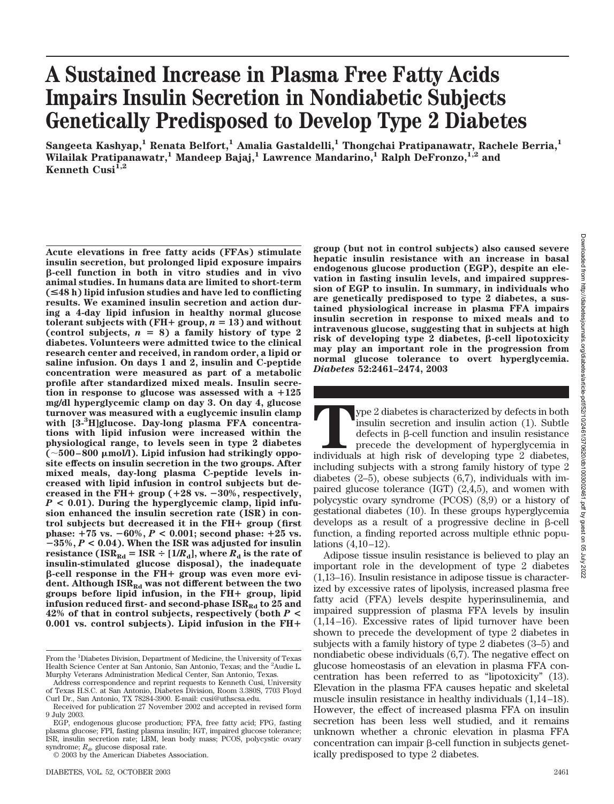# **A Sustained Increase in Plasma Free Fatty Acids Impairs Insulin Secretion in Nondiabetic Subjects Genetically Predisposed to Develop Type 2 Diabetes**

**Sangeeta Kashyap,1 Renata Belfort,1 Amalia Gastaldelli,1 Thongchai Pratipanawatr, Rachele Berria,1** Wilailak Pratipanawatr,<sup>1</sup> Mandeep Bajaj,<sup>1</sup> Lawrence Mandarino,<sup>1</sup> Ralph DeFronzo,<sup>1,2</sup> and Kenneth Cusi<sup>1,2</sup>

**Acute elevations in free fatty acids (FFAs) stimulate insulin secretion, but prolonged lipid exposure impairs -cell function in both in vitro studies and in vivo animal studies. In humans data are limited to short-term (**<**48 h) lipid infusion studies and have led to conflicting results. We examined insulin secretion and action during a 4-day lipid infusion in healthy normal glucose**  $t$  **tolerant subjects with (FH+ group,**  $n = 13$ ) and without (control subjects,  $n = 8$ ) a family history of type 2 **diabetes. Volunteers were admitted twice to the clinical research center and received, in random order, a lipid or saline infusion. On days 1 and 2, insulin and C-peptide concentration were measured as part of a metabolic profile after standardized mixed meals. Insulin secre**tion in response to glucose was assessed with a  $+125$ **mg/dl hyperglycemic clamp on day 3. On day 4, glucose turnover was measured with a euglycemic insulin clamp with [3-3 H]glucose. Day-long plasma FFA concentrations with lipid infusion were increased within the physiological range, to levels seen in type 2 diabetes (500–800 mol/l). Lipid infusion had strikingly opposite effects on insulin secretion in the two groups. After mixed meals, day-long plasma C-peptide levels increased with lipid infusion in control subjects but decreased in the FH**- **group (**-**28 vs. 30%, respectively,** *P* **< 0.01). During the hyperglycemic clamp, lipid infusion enhanced the insulin secretion rate (ISR) in control subjects but decreased it in the FH**- **group (first**  $phase: +75$  vs.  $-60\%, P < 0.001$ ; second phase:  $+25$  vs. **35%,** *P* **< 0.04). When the ISR was adjusted for insulin resistance (ISR**<sub>Rd</sub> = ISR  $\div$  [1/*R*<sub>d</sub>], where *R*<sub>d</sub> is the rate of **insulin-stimulated glucose disposal), the inadequate -cell response in the FH**- **group was even more evi**dent. Although ISR<sub>Rd</sub> was not different between the two **groups before lipid infusion, in the FH**- **group, lipid** infusion reduced first- and second-phase  $ISR_{Rd}$  to 25 and **42% of that in control subjects, respectively (both** *P* **< 0.001 vs. control subjects). Lipid infusion in the FH**-

**group (but not in control subjects) also caused severe hepatic insulin resistance with an increase in basal endogenous glucose production (EGP), despite an elevation in fasting insulin levels, and impaired suppression of EGP to insulin. In summary, in individuals who are genetically predisposed to type 2 diabetes, a sustained physiological increase in plasma FFA impairs insulin secretion in response to mixed meals and to intravenous glucose, suggesting that in subjects at high** risk of developing type 2 diabetes, β-cell lipotoxicity **may play an important role in the progression from normal glucose tolerance to overt hyperglycemia.** *Diabetes* **52:2461–2474, 2003**

**The 2** diabetes is characterized by defects in both insulin secretion and insulin action (1). Subtle defects in β-cell function and insulin resistance precede the development of hyperglycemia in individuals at high risk insulin secretion and insulin action (1). Subtle  $defects$  in  $\beta$ -cell function and insulin resistance precede the development of hyperglycemia in including subjects with a strong family history of type 2 diabetes (2–5), obese subjects (6,7), individuals with impaired glucose tolerance (IGT) (2,4,5), and women with polycystic ovary syndrome (PCOS) (8,9) or a history of gestational diabetes (10). In these groups hyperglycemia develops as a result of a progressive decline in  $\beta$ -cell function, a finding reported across multiple ethnic populations (4,10–12).

Adipose tissue insulin resistance is believed to play an important role in the development of type 2 diabetes (1,13–16). Insulin resistance in adipose tissue is characterized by excessive rates of lipolysis, increased plasma free fatty acid (FFA) levels despite hyperinsulinemia, and impaired suppression of plasma FFA levels by insulin (1,14–16). Excessive rates of lipid turnover have been shown to precede the development of type 2 diabetes in subjects with a family history of type 2 diabetes (3–5) and nondiabetic obese individuals (6,7). The negative effect on glucose homeostasis of an elevation in plasma FFA concentration has been referred to as "lipotoxicity" (13). Elevation in the plasma FFA causes hepatic and skeletal muscle insulin resistance in healthy individuals (1,14–18). However, the effect of increased plasma FFA on insulin secretion has been less well studied, and it remains unknown whether a chronic elevation in plasma FFA  $concentration can impair \beta-cell function in subjects genetic.$ ically predisposed to type 2 diabetes.

From the <sup>1</sup>Diabetes Division, Department of Medicine, the University of Texas Health Science Center at San Antonio, San Antonio, Texas; and the <sup>2</sup> Audie L. Murphy Veterans Administration Medical Center, San Antonio, Texas.

Address correspondence and reprint requests to Kenneth Cusi, University of Texas H.S.C. at San Antonio, Diabetes Division, Room 3.380S, 7703 Floyd Curl Dr., San Antonio, TX 78284-3900. E-mail: cusi@uthscsa.edu.

Received for publication 27 November 2002 and accepted in revised form 9 July 2003.

EGP, endogenous glucose production; FFA, free fatty acid; FPG, fasting plasma glucose; FPI, fasting plasma insulin; IGT, impaired glucose tolerance; ISR, insulin secretion rate; LBM, lean body mass; PCOS, polycystic ovary syndrome;  $R_d$ , glucose disposal rate.

<sup>© 2003</sup> by the American Diabetes Association.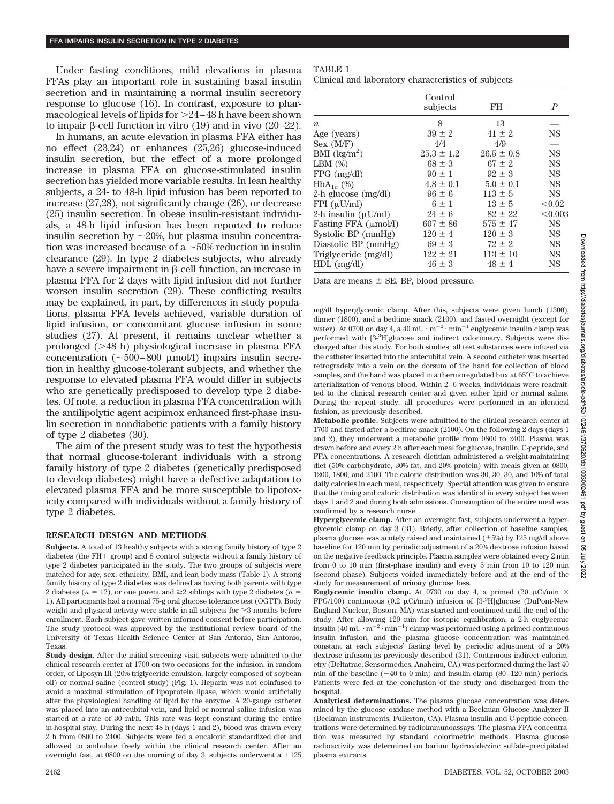Under fasting conditions, mild elevations in plasma FFAs play an important role in sustaining basal insulin secretion and in maintaining a normal insulin secretory response to glucose (16). In contrast, exposure to pharmacological levels of lipids for 24–48 h have been shown to impair  $\beta$ -cell function in vitro (19) and in vivo (20–22).

In humans, an acute elevation in plasma FFA either has no effect (23,24) or enhances (25,26) glucose-induced insulin secretion, but the effect of a more prolonged increase in plasma FFA on glucose-stimulated insulin secretion has yielded more variable results. In lean healthy subjects, a 24- to 48-h lipid infusion has been reported to increase (27,28), not significantly change (26), or decrease (25) insulin secretion. In obese insulin-resistant individuals, a 48-h lipid infusion has been reported to reduce insulin secretion by  $\sim$ 20%, but plasma insulin concentration was increased because of a  $\sim$  50% reduction in insulin clearance (29). In type 2 diabetes subjects, who already have a severe impairment in  $\beta$ -cell function, an increase in plasma FFA for 2 days with lipid infusion did not further worsen insulin secretion (29). These conflicting results may be explained, in part, by differences in study populations, plasma FFA levels achieved, variable duration of lipid infusion, or concomitant glucose infusion in some studies (27). At present, it remains unclear whether a prolonged  $(248 h)$  physiological increase in plasma FFA concentration  $(\sim 500-800 \mu mol/l)$  impairs insulin secretion in healthy glucose-tolerant subjects, and whether the response to elevated plasma FFA would differ in subjects who are genetically predisposed to develop type 2 diabetes. Of note, a reduction in plasma FFA concentration with the antilipolytic agent acipimox enhanced first-phase insulin secretion in nondiabetic patients with a family history of type 2 diabetes (30).

The aim of the present study was to test the hypothesis that normal glucose-tolerant individuals with a strong family history of type 2 diabetes (genetically predisposed to develop diabetes) might have a defective adaptation to elevated plasma FFA and be more susceptible to lipotoxicity compared with individuals without a family history of type 2 diabetes.

### **RESEARCH DESIGN AND METHODS**

**Subjects.** A total of 13 healthy subjects with a strong family history of type 2 diabetes (the  $FH+$  group) and 8 control subjects without a family history of type 2 diabetes participated in the study. The two groups of subjects were matched for age, sex, ethnicity, BMI, and lean body mass (Table 1). A strong family history of type 2 diabetes was defined as having both parents with type 2 diabetes ( $n = 12$ ), or one parent and  $\geq 2$  siblings with type 2 diabetes ( $n =$ 1). All participants had a normal 75-g oral glucose tolerance test (OGTT). Body weight and physical activity were stable in all subjects for  $\geq$  months before enrollment. Each subject gave written informed consent before participation. The study protocol was approved by the institutional review board of the University of Texas Health Science Center at San Antonio, San Antonio, Texas.

**Study design.** After the initial screening visit, subjects were admitted to the clinical research center at 1700 on two occasions for the infusion, in random order, of Liposyn III (20% triglyceride emulsion, largely composed of soybean oil) or normal saline (control study) (Fig. 1). Heparin was not coinfused to avoid a maximal stimulation of lipoprotein lipase, which would artificially alter the physiological handling of lipid by the enzyme. A 20-gauge catheter was placed into an antecubital vein, and lipid or normal saline infusion was started at a rate of 30 ml/h. This rate was kept constant during the entire in-hospital stay. During the next 48 h (days 1 and 2), blood was drawn every 2 h from 0800 to 2400. Subjects were fed a eucaloric standardized diet and allowed to ambulate freely within the clinical research center. After an overnight fast, at 0800 on the morning of day 3, subjects underwent a  $+125$ 

| AD L |  |
|------|--|
|------|--|

|  |  | Clinical and laboratory characteristics of subjects |  |
|--|--|-----------------------------------------------------|--|
|--|--|-----------------------------------------------------|--|

|                          | Control<br>subjects | $FH+$          | $\boldsymbol{P}$ |
|--------------------------|---------------------|----------------|------------------|
| $\boldsymbol{n}$         | 8                   | 13             |                  |
| Age (years)              | $39 \pm 2$          | $41 \pm 2$     | <b>NS</b>        |
| Sex (M/F)                | 4/4                 | 4/9            |                  |
| BMI $(kg/m^2)$           | $25.3 \pm 1.2$      | $26.5 \pm 0.8$ | <b>NS</b>        |
| LBM $(\%)$               | $68 \pm 3$          | $67 \pm 2$     | <b>NS</b>        |
| $FPG$ (mg/dl)            | $90 \pm 1$          | $92 + 3$       | <b>NS</b>        |
| $HbA_{1c}$ (%)           | $4.8 \pm 0.1$       | $5.0 \pm 0.1$  | <b>NS</b>        |
| $2-h$ glucose (mg/dl)    | $96 + 6$            | $113 + 5$      | NS               |
| $FPI(\mu U/ml)$          | $6 \pm 1$           | $13 \pm 5$     | < 0.02           |
| 2-h insulin $(\mu U/ml)$ | $24 + 6$            | $82 + 22$      | < 0.003          |
| Fasting FFA (μmol/l)     | $607 \pm 86$        | $575 \pm 47$   | <b>NS</b>        |
| Systolic BP (mmHg)       | $120 \pm 4$         | $120 \pm 3$    | <b>NS</b>        |
| Diastolic BP (mmHg)      | $69 \pm 3$          | $72 \pm 2$     | <b>NS</b>        |
| Triglyceride (mg/dl)     | $122 \pm 21$        | $113 \pm 10$   | <b>NS</b>        |
| $HDL$ (mg/dl)            | $46 \pm 3$          | $48 \pm 4$     | <b>NS</b>        |

Data are means  $\pm$  SE. BP, blood pressure.

mg/dl hyperglycemic clamp. After this, subjects were given lunch (1300), dinner (1800), and a bedtime snack (2100), and fasted overnight (except for water). At 0700 on day 4, a 40 mU  $\cdot$  m<sup>-2</sup> $\cdot$  min<sup>-1</sup> euglycemic insulin clamp was performed with [3<sup>.3</sup>H]glucose and indirect calorimetry. Subjects were discharged after this study. For both studies, all test substances were infused via the catheter inserted into the antecubital vein. A second catheter was inserted retrogradely into a vein on the dorsum of the hand for collection of blood samples, and the hand was placed in a thermoregulated box at 65°C to achieve arterialization of venous blood. Within 2–6 weeks, individuals were readmitted to the clinical research center and given either lipid or normal saline. During the repeat study, all procedures were performed in an identical fashion, as previously described.

**Metabolic profile.** Subjects were admitted to the clinical research center at 1700 and fasted after a bedtime snack (2100). On the following 2 days (days 1 and 2), they underwent a metabolic profile from 0800 to 2400. Plasma was drawn before and every 2 h after each meal for glucose, insulin, C-peptide, and FFA concentrations. A research dietitian administered a weight-maintaining diet (50% carbohydrate, 30% fat, and 20% protein) with meals given at 0800, 1200, 1800, and 2100. The caloric distribution was 30, 30, 30, and 10% of total daily calories in each meal, respectively. Special attention was given to ensure that the timing and caloric distribution was identical in every subject between days 1 and 2 and during both admissions. Consumption of the entire meal was confirmed by a research nurse.

**Hyperglycemic clamp.** After an overnight fast, subjects underwent a hyperglycemic clamp on day 3 (31). Briefly, after collection of baseline samples, plasma glucose was acutely raised and maintained  $(\pm 5%)$  by 125 mg/dl above baseline for 120 min by periodic adjustment of a 20% dextrose infusion based on the negative feedback principle. Plasma samples were obtained every 2 min from 0 to 10 min (first-phase insulin) and every 5 min from 10 to 120 min (second phase). Subjects voided immediately before and at the end of the study for measurement of urinary glucose loss.

**Euglycemic insulin clamp.** At 0730 on day 4, a primed (20  $\mu$ Ci/min  $\times$ FPG/100) continuous (0.2  $\mu$ Ci/min) infusion of [3-3H]glucose (DuPont-New England Nuclear, Boston, MA) was started and continued until the end of the study. After allowing 120 min for isotopic equilibration, a 2-h euglycemic insulin  $(40 \text{ mU} \cdot \text{m}^{-2} \cdot \text{min}^{-1})$  clamp was performed using a primed-continuous insulin infusion, and the plasma glucose concentration was maintained constant at each subjects' fasting level by periodic adjustment of a 20% dextrose infusion as previously described (31). Continuous indirect calorimetry (Deltatrac; Sensormedics, Anaheim, CA) was performed during the last 40 min of the baseline  $(-40 \text{ to } 0 \text{ min})$  and insulin clamp  $(80-120 \text{ min})$  periods. Patients were fed at the conclusion of the study and discharged from the hospital.

**Analytical determinations.** The plasma glucose concentration was determined by the glucose oxidase method with a Beckman Glucose Analyzer II (Beckman Instruments, Fullerton, CA). Plasma insulin and C-peptide concentrations were determined by radioimmunoassays. The plasma FFA concentration was measured by standard colorimetric methods. Plasma glucose radioactivity was determined on barium hydroxide/zinc sulfate–precipitated plasma extracts.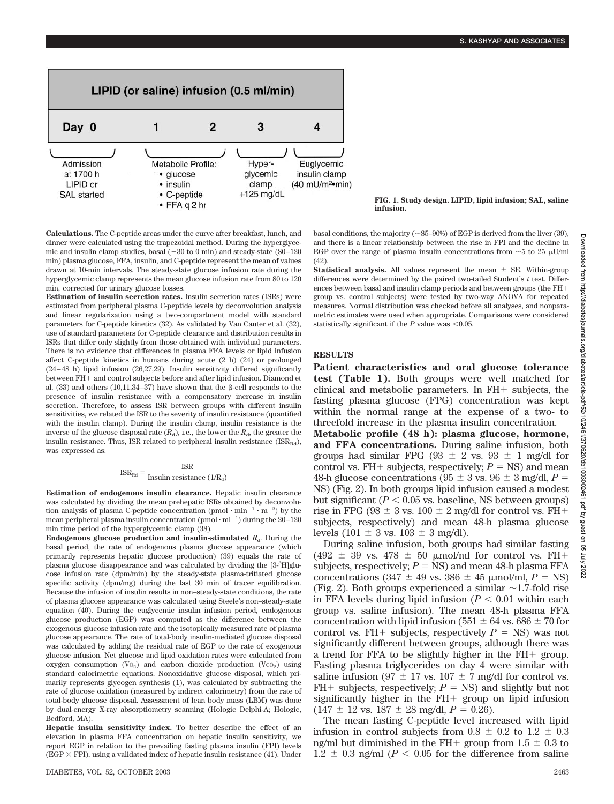

**FIG. 1. Study design. LIPID, lipid infusion; SAL, saline infusion.**

**Calculations.** The C-peptide areas under the curve after breakfast, lunch, and dinner were calculated using the trapezoidal method. During the hyperglycemic and insulin clamp studies, basal  $(-30 \text{ to } 0 \text{ min})$  and steady-state  $(80-120 \text{ m})$ min) plasma glucose, FFA, insulin, and C-peptide represent the mean of values drawn at 10-min intervals. The steady-state glucose infusion rate during the hyperglycemic clamp represents the mean glucose infusion rate from 80 to 120 min, corrected for urinary glucose losses.

**Estimation of insulin secretion rates.** Insulin secretion rates (ISRs) were estimated from peripheral plasma C-peptide levels by deconvolution analysis and linear regularization using a two-compartment model with standard parameters for C-peptide kinetics (32). As validated by Van Cauter et al. (32), use of standard parameters for C-peptide clearance and distribution results in ISRs that differ only slightly from those obtained with individual parameters. There is no evidence that differences in plasma FFA levels or lipid infusion affect C-peptide kinetics in humans during acute (2 h) (24) or prolonged (24–48 h) lipid infusion (26,27,29). Insulin sensitivity differed significantly between FH+ and control subjects before and after lipid infusion. Diamond et al.  $(33)$  and others  $(10,11,34-37)$  have shown that the  $\beta$ -cell responds to the presence of insulin resistance with a compensatory increase in insulin secretion. Therefore, to assess ISR between groups with different insulin sensitivities, we related the ISR to the severity of insulin resistance (quantified with the insulin clamp). During the insulin clamp, insulin resistance is the inverse of the glucose disposal rate  $(R_d)$ , i.e., the lower the  $R_d$ , the greater the insulin resistance. Thus, ISR related to peripheral insulin resistance  $(ISR_{Rd})$ , was expressed as:

$$
\text{ISR}_{\text{Rd}} = \frac{\text{ISR}}{\text{Insulin resistance} \ (1/R_{\text{d}})}
$$

**Estimation of endogenous insulin clearance.** Hepatic insulin clearance was calculated by dividing the mean prehepatic ISRs obtained by deconvolution analysis of plasma C-peptide concentration  $(pmol \cdot min^{-1} \cdot m^{-2})$  by the mean peripheral plasma insulin concentration  $(pmol \cdot ml^{-1})$  during the  $20-120$ min time period of the hyperglycemic clamp (38).

**Endogenous glucose production and insulin-stimulated**  $R_d$ . During the basal period, the rate of endogenous plasma glucose appearance (which primarily represents hepatic glucose production) (39) equals the rate of plasma glucose disappearance and was calculated by dividing the [3-3H]glucose infusion rate (dpm/min) by the steady-state plasma-tritiated glucose specific activity (dpm/mg) during the last 30 min of tracer equilibration. Because the infusion of insulin results in non–steady-state conditions, the rate of plasma glucose appearance was calculated using Steele's non–steady-state equation (40). During the euglycemic insulin infusion period, endogenous glucose production (EGP) was computed as the difference between the exogenous glucose infusion rate and the isotopically measured rate of plasma glucose appearance. The rate of total-body insulin-mediated glucose disposal was calculated by adding the residual rate of EGP to the rate of exogenous glucose infusion. Net glucose and lipid oxidation rates were calculated from oxygen consumption  $(V_0)$  and carbon dioxide production  $(V_0)$  using standard calorimetric equations. Nonoxidative glucose disposal, which primarily represents glycogen synthesis (1), was calculated by subtracting the rate of glucose oxidation (measured by indirect calorimetry) from the rate of total-body glucose disposal. Assessment of lean body mass (LBM) was done by dual-energy X-ray absorptiometry scanning (Hologic Delphi-A; Hologic, Bedford, MA).

**Hepatic insulin sensitivity index.** To better describe the effect of an elevation in plasma FFA concentration on hepatic insulin sensitivity, we report EGP in relation to the prevailing fasting plasma insulin (FPI) levels (EGP  $\times$  FPI), using a validated index of hepatic insulin resistance (41). Under basal conditions, the majority ( $\sim$ 85–90%) of EGP is derived from the liver (39), and there is a linear relationship between the rise in FPI and the decline in EGP over the range of plasma insulin concentrations from  $\sim$  5 to 25  $\mu$ U/ml (42).

**Statistical analysis.** All values represent the mean  $\pm$  SE. Within-group differences were determined by the paired two-tailed Student's *t* test. Differences between basal and insulin clamp periods and between groups (the FH group vs. control subjects) were tested by two-way ANOVA for repeated measures. Normal distribution was checked before all analyses, and nonparametric estimates were used when appropriate. Comparisons were considered statistically significant if the  $P$  value was < $0.05$ .

### **RESULTS**

**Patient characteristics and oral glucose tolerance test (Table 1).** Both groups were well matched for clinical and metabolic parameters. In  $FH+$  subjects, the fasting plasma glucose (FPG) concentration was kept within the normal range at the expense of a two- to threefold increase in the plasma insulin concentration.

**Metabolic profile (48 h): plasma glucose, hormone, and FFA concentrations.** During saline infusion, both groups had similar FPG (93  $\pm$  2 vs. 93  $\pm$  1 mg/dl for control vs.  $FH+$  subjects, respectively;  $P = NS$ ) and mean 48-h glucose concentrations ( $95 \pm 3$  vs.  $96 \pm 3$  mg/dl,  $P =$ NS) (Fig. 2). In both groups lipid infusion caused a modest but significant ( $P < 0.05$  vs. baseline, NS between groups) rise in FPG ( $98 \pm 3$  vs.  $100 \pm 2$  mg/dl for control vs. FH+ subjects, respectively) and mean 48-h plasma glucose levels (101  $\pm$  3 vs. 103  $\pm$  3 mg/dl).

During saline infusion, both groups had similar fasting (492  $\pm$  39 vs. 478  $\pm$  50 µmol/ml for control vs. FH+ subjects, respectively;  $P = NS$ ) and mean 48-h plasma FFA concentrations  $(347 \pm 49 \text{ vs. } 386 \pm 45 \text{ µmol/ml}, P = \text{NS})$ (Fig. 2). Both groups experienced a similar  $\sim$  1.7-fold rise in FFA levels during lipid infusion  $(P < 0.01$  within each group vs. saline infusion). The mean 48-h plasma FFA concentration with lipid infusion (551  $\pm$  64 vs. 686  $\pm$  70 for control vs. FH+ subjects, respectively  $P = NS$ ) was not significantly different between groups, although there was a trend for FFA to be slightly higher in the  $FH+$  group. Fasting plasma triglycerides on day 4 were similar with saline infusion (97  $\pm$  17 vs. 107  $\pm$  7 mg/dl for control vs.  $FH+$  subjects, respectively;  $P = NS$ ) and slightly but not significantly higher in the  $FH+$  group on lipid infusion  $(147 \pm 12 \text{ vs. } 187 \pm 28 \text{ mg/dl}, P = 0.26).$ 

The mean fasting C-peptide level increased with lipid infusion in control subjects from  $0.8 \pm 0.2$  to  $1.2 \pm 0.3$ ng/ml but diminished in the FH+ group from  $1.5 \pm 0.3$  to  $1.2 \pm 0.3$  ng/ml ( $P < 0.05$  for the difference from saline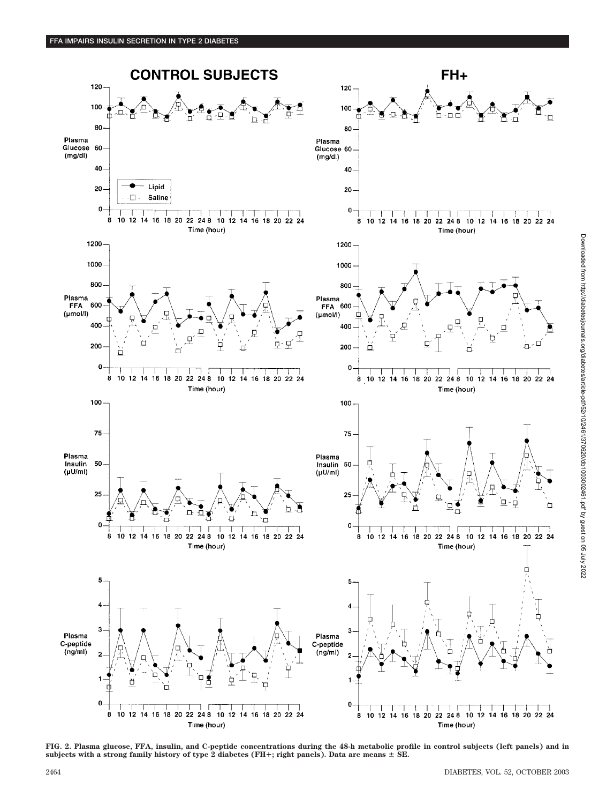

**FIG. 2. Plasma glucose, FFA, insulin, and C-peptide concentrations during the 48-h metabolic profile in control subjects (left panels) and in subjects with a strong family history of type 2 diabetes (FH**-**; right panels). Data are means SE.**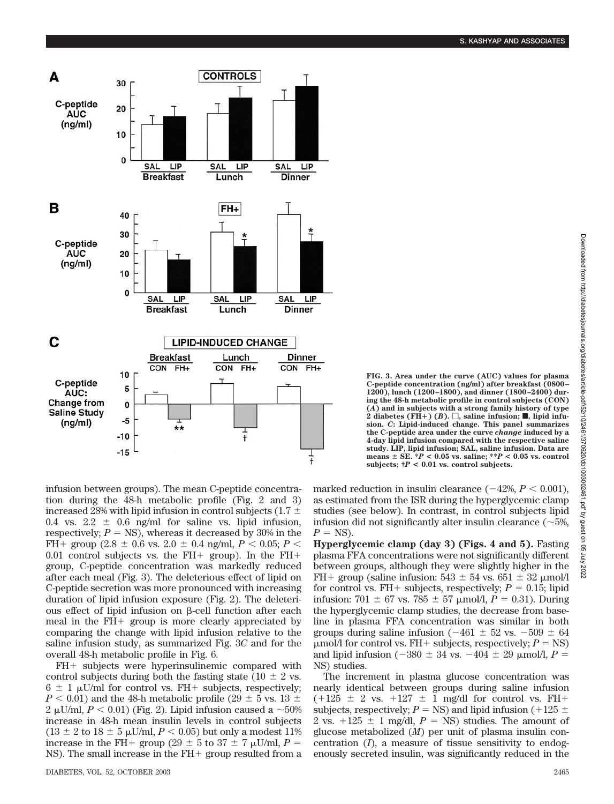

**FIG. 3. Area under the curve (AUC) values for plasma C-peptide concentration (ng/ml) after breakfast (0800– 1200), lunch (1200–1800), and dinner (1800–2400) during the 48-h metabolic profile in control subjects (CON) (***A***) and in subjects with a strong family history of type**  $\hat{2}$  diabetes (FH<sup>+</sup>) (*B*).  $\Box$ , saline infusion; **I**, lipid infu**sion.** *C***: Lipid-induced change. This panel summarizes the C-peptide area under the curve** *change* **induced by a 4-day lipid infusion compared with the respective saline study. LIP, lipid infusion; SAL, saline infusion. Data are means SE. \****P* **< 0.05 vs. saline; \*\****P* **< 0.05 vs. control subjects; †***P* **< 0.01 vs. control subjects.**

infusion between groups). The mean C-peptide concentration during the 48-h metabolic profile (Fig. 2 and 3) increased 28% with lipid infusion in control subjects (1.7  $\pm$ 0.4 vs. 2.2  $\pm$  0.6 ng/ml for saline vs. lipid infusion, respectively;  $P = NS$ ), whereas it decreased by 30% in the FH+ group  $(2.8 \pm 0.6 \text{ vs. } 2.0 \pm 0.4 \text{ ng/ml}, P < 0.05; P <$ 0.01 control subjects vs. the  $FH+$  group). In the  $FH+$ group, C-peptide concentration was markedly reduced after each meal (Fig. 3). The deleterious effect of lipid on C-peptide secretion was more pronounced with increasing duration of lipid infusion exposure (Fig. 2). The deleterious effect of lipid infusion on  $\beta$ -cell function after each meal in the  $FH+$  group is more clearly appreciated by comparing the change with lipid infusion relative to the saline infusion study, as summarized Fig. 3*C* and for the overall 48-h metabolic profile in Fig. 6.

 $FH+$  subjects were hyperinsulinemic compared with control subjects during both the fasting state (10  $\pm$  2 vs.  $6 \pm 1$  µU/ml for control vs. FH+ subjects, respectively;  $P < 0.01$ ) and the 48-h metabolic profile (29  $\pm$  5 vs. 13  $\pm$  $2 \mu U/ml$ ,  $P < 0.01$ ) (Fig. 2). Lipid infusion caused a  $\sim 50\%$ increase in 48-h mean insulin levels in control subjects  $(13 \pm 2 \text{ to } 18 \pm 5 \text{ }\mu\text{U/ml}, P < 0.05) \text{ but only a modest } 11\%$ increase in the FH+ group (29  $\pm$  5 to 37  $\pm$  7  $\mu$ U/ml, *P* = NS). The small increase in the FH+ group resulted from a

marked reduction in insulin clearance  $(-42\%, P < 0.001)$ , as estimated from the ISR during the hyperglycemic clamp studies (see below). In contrast, in control subjects lipid infusion did not significantly alter insulin clearance  $(\sim 5\%$ ,  $P = NS$ ).

**Hyperglycemic clamp (day 3) (Figs. 4 and 5).** Fasting plasma FFA concentrations were not significantly different between groups, although they were slightly higher in the FH + group (saline infusion:  $543 \pm 54$  vs.  $651 \pm 32$  µmol/l for control vs. FH+ subjects, respectively;  $P = 0.15$ ; lipid infusion: 701  $\pm$  67 vs. 785  $\pm$  57  $\mu$ mol/l, *P* = 0.31). During the hyperglycemic clamp studies, the decrease from baseline in plasma FFA concentration was similar in both groups during saline infusion ( $-461 \pm 52$  vs.  $-509 \pm 64$  $\mu$ mol/l for control vs. FH+ subjects, respectively;  $P = NS$ ) and lipid infusion ( $-380 \pm 34$  vs.  $-404 \pm 29$  µmol/l,  $P =$ NS) studies.

The increment in plasma glucose concentration was nearly identical between groups during saline infusion  $(+125 \pm 2 \text{ vs. } +127 \pm 1 \text{ mg/dl}$  for control vs. FH+ subjects, respectively;  $P = NS$ ) and lipid infusion (+125  $\pm$ 2 vs.  $+125 \pm 1$  mg/dl,  $P = NS$ ) studies. The amount of glucose metabolized (*M*) per unit of plasma insulin concentration (*I*), a measure of tissue sensitivity to endogenously secreted insulin, was significantly reduced in the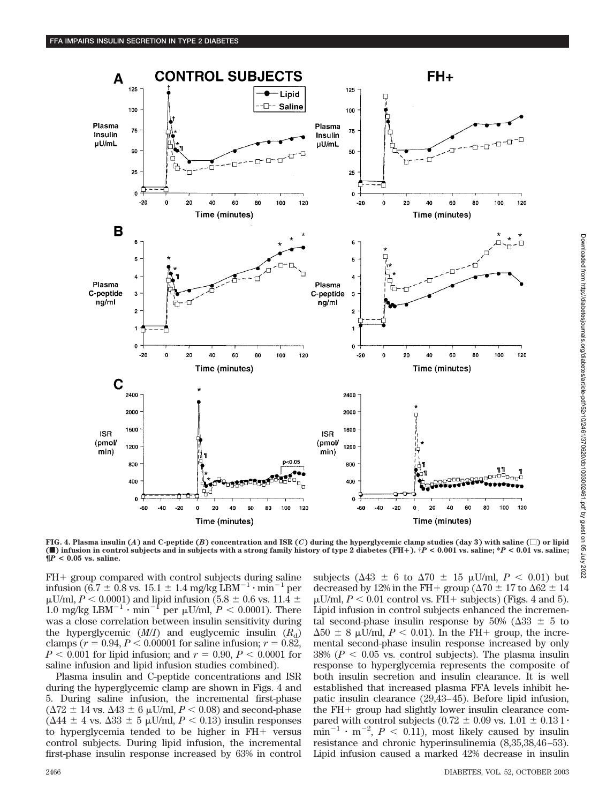

**FIG. 4. Plasma insulin (***A***) and C-peptide (***B***) concentration and ISR (***C***) during the hyperglycemic clamp studies (day 3) with saline (**-**) or lipid (**f**) infusion in control subjects and in subjects with a strong family history of type 2 diabetes (FH**-**). †***P* **< 0.001 vs. saline; \****P* **< 0.01 vs. saline; ¶***P* **< 0.05 vs. saline.**

 $FH+$  group compared with control subjects during saline infusion (6.7  $\pm$  0.8 vs. 15.1  $\pm$  1.4 mg/kg LBM<sup>-1</sup>  $\cdot$  min<sup>-1</sup> per  $\mu$ U/ml, *P* < 0.0001) and lipid infusion (5.8  $\pm$  0.6 vs. 11.4  $\pm$ 1.0 mg/kg LBM<sup>-1</sup>  $\cdot$  min<sup>-1</sup> per  $\mu$ U/ml,  $P < 0.0001$ ). There was a close correlation between insulin sensitivity during the hyperglycemic  $(M/I)$  and euglycemic insulin  $(R_d)$ clamps ( $r = 0.94, P < 0.00001$  for saline infusion;  $r = 0.82$ ,  $P < 0.001$  for lipid infusion; and  $r = 0.90, P < 0.0001$  for saline infusion and lipid infusion studies combined).

Plasma insulin and C-peptide concentrations and ISR during the hyperglycemic clamp are shown in Figs. 4 and 5. During saline infusion, the incremental first-phase  $(\Delta 72 \pm 14 \text{ vs. } \Delta 43 \pm 6 \text{ }\mu\text{U/ml}, P < 0.08)$  and second-phase  $(\Delta 44 \pm 4 \text{ vs. } \Delta 33 \pm 5 \text{ }\mu\text{U/ml}, P < 0.13)$  insulin responses to hyperglycemia tended to be higher in  $FH+$  versus control subjects. During lipid infusion, the incremental first-phase insulin response increased by 63% in control

subjects ( $\Delta 43 \pm 6$  to  $\Delta 70 \pm 15$   $\mu$ U/ml,  $P < 0.01$ ) but decreased by 12% in the FH+ group ( $\Delta 70 \pm 17$  to  $\Delta 62 \pm 14$  $\mu$ U/ml,  $P < 0.01$  control vs. FH+ subjects) (Figs. 4 and 5). Lipid infusion in control subjects enhanced the incremental second-phase insulin response by 50% ( $\Delta 33 \pm 5$  to  $\Delta 50 \pm 8$  µU/ml,  $P < 0.01$ ). In the FH+ group, the incremental second-phase insulin response increased by only  $38\%$  ( $P < 0.05$  vs. control subjects). The plasma insulin response to hyperglycemia represents the composite of both insulin secretion and insulin clearance. It is well established that increased plasma FFA levels inhibit hepatic insulin clearance (29,43–45). Before lipid infusion, the  $FH+$  group had slightly lower insulin clearance compared with control subjects (0.72  $\pm$  0.09 vs. 1.01  $\pm$  0.13 l  $\cdot$  $\text{min}^{-1} \cdot \text{m}^{-2}$ ,  $P < 0.11$ ), most likely caused by insulin resistance and chronic hyperinsulinemia (8,35,38,46–53). Lipid infusion caused a marked 42% decrease in insulin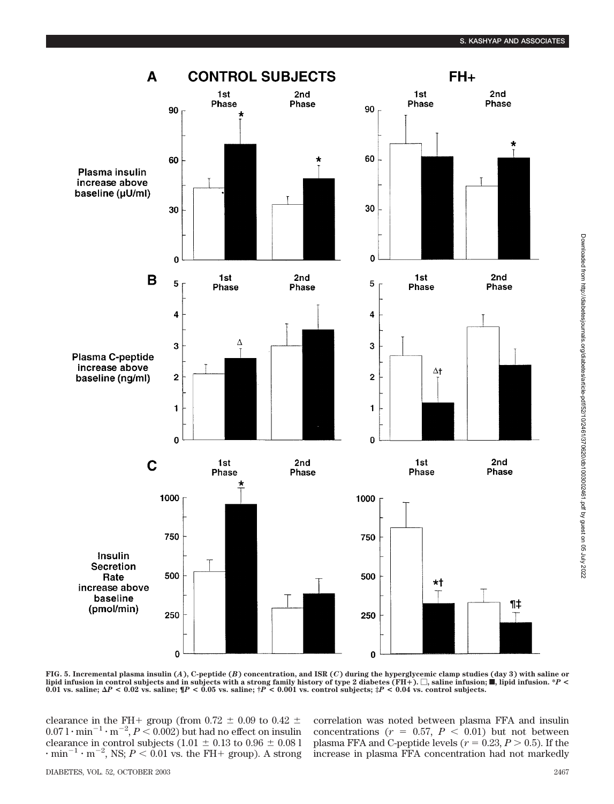

Downloaded from http://diabetesjournals.org/diabetes/article-pdff52/10/2461/370620/db1003002461.pdf by guest on 05 July 2022

Downloaded from http://diabetesjournals.org/diabetes/article-pdf/52/10/2461/370620/db1003002461.pdf by guest on 05 July 2022

**FIG. 5. Incremental plasma insulin (***A***), C-peptide (***B***) concentration, and ISR (***C***) during the hyperglycemic clamp studies (day 3) with saline or lipid infusion in control subjects and in subjects with a strong family history of type 2 diabetes (FH**-**).** -**, saline infusion;** f**, lipid infusion. \****P* **<** 0.01 vs. saline;  $\Delta P < 0.02$  vs. saline;  $\langle P < 0.05 \rangle$  vs. saline;  $\gamma P < 0.001$  vs. control subjects;  $\gamma P < 0.04$  vs. control subjects.

clearance in the FH+ group (from 0.72  $\pm$  0.09 to 0.42  $\pm$  $0.071 \cdot \text{min}^{-1} \cdot \text{m}^{-2}, P < 0.002)$  but had no effect on insulin clearance in control subjects (1.01  $\pm$  0.13 to 0.96  $\pm$  0.08 l  $\cdot$  min<sup>-1</sup>  $\cdot$  m<sup>-2</sup>, NS; *P* < 0.01 vs. the FH+ group). A strong

correlation was noted between plasma FFA and insulin concentrations  $(r = 0.57, P < 0.01)$  but not between plasma FFA and C-peptide levels ( $r = 0.23, P > 0.5$ ). If the increase in plasma FFA concentration had not markedly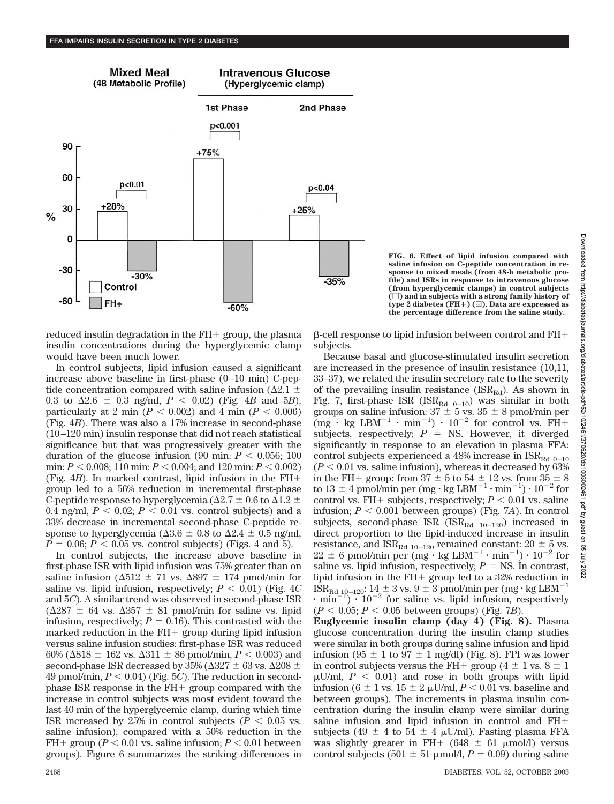

**FIG. 6. Effect of lipid infusion compared with saline infusion on C-peptide concentration in response to mixed meals (from 48-h metabolic profile) and ISRs in response to intravenous glucose (from hyperglycemic clamps) in control subjects (**-**) and in subjects with a strong family history of type 2 diabetes (FH**-**) (**u**). Data are expressed as the percentage difference from the saline study.**

reduced insulin degradation in the  $FH+$  group, the plasma insulin concentrations during the hyperglycemic clamp would have been much lower.

In control subjects, lipid infusion caused a significant increase above baseline in first-phase (0–10 min) C-peptide concentration compared with saline infusion ( $\Delta2.1$   $\pm$ 0.3 to  $\Delta 2.6 \pm 0.3$  ng/ml,  $P < 0.02$ ) (Fig. 4*B* and 5*B*), particularly at 2 min  $(P < 0.002)$  and 4 min  $(P < 0.006)$ (Fig. 4*B*). There was also a 17% increase in second-phase (10–120 min) insulin response that did not reach statistical significance but that was progressively greater with the duration of the glucose infusion  $(90 \text{ min: } P < 0.056; 100)$ min:  $P < 0.008$ ; 110 min:  $P < 0.004$ ; and 120 min:  $P < 0.002$ ) (Fig.  $4B$ ). In marked contrast, lipid infusion in the  $FH+$ group led to a 56% reduction in incremental first-phase C-peptide response to hyperglycemia ( $\Delta 2.7 \pm 0.6$  to  $\Delta 1.2 \pm 0.6$ 0.4 ng/ml,  $P < 0.02$ ;  $P < 0.01$  vs. control subjects) and a 33% decrease in incremental second-phase C-peptide response to hyperglycemia ( $\Delta 3.6 \pm 0.8$  to  $\Delta 2.4 \pm 0.5$  ng/ml,  $P = 0.06; P < 0.05$  vs. control subjects) (Figs. 4 and 5).

In control subjects, the increase above baseline in first-phase ISR with lipid infusion was 75% greater than on saline infusion ( $\Delta 512 \pm 71$  vs.  $\Delta 897 \pm 174$  pmol/min for saline vs. lipid infusion, respectively;  $P < 0.01$ ) (Fig.  $4C$ and 5*C*). A similar trend was observed in second-phase ISR  $(\Delta 287 \pm 64 \text{ vs. } \Delta 357 \pm 81 \text{ pmol/min}$  for saline vs. lipid infusion, respectively;  $P = 0.16$ ). This contrasted with the marked reduction in the  $FH+$  group during lipid infusion versus saline infusion studies: first-phase ISR was reduced 60% ( $\Delta$ 818  $\pm$  162 vs.  $\Delta$ 311  $\pm$  86 pmol/min,  $P < 0.003$ ) and second-phase ISR decreased by 35% ( $\Delta 327 \pm 63$  vs.  $\Delta 208 \pm 1$  $49$  pmol/min,  $P < 0.04$ ) (Fig. 5*C*). The reduction in secondphase ISR response in the  $FH+$  group compared with the increase in control subjects was most evident toward the last 40 min of the hyperglycemic clamp, during which time ISR increased by 25% in control subjects ( $P < 0.05$  vs. saline infusion), compared with a 50% reduction in the FH + group ( $P < 0.01$  vs. saline infusion;  $P < 0.01$  between groups). Figure 6 summarizes the striking differences in

--cell response to lipid infusion between control and FH subjects.

Because basal and glucose-stimulated insulin secretion are increased in the presence of insulin resistance (10,11, 33–37), we related the insulin secretory rate to the severity of the prevailing insulin resistance ( $ISR_{\text{Rd}}$ ). As shown in Fig. 7, first-phase ISR (ISR $_{\text{Rd} = 0-10}$ ) was similar in both groups on saline infusion:  $37 \pm 5$  vs.  $35 \pm 8$  pmol/min per  $\text{Im } \cdot \text{ kg }$  LBM<sup>-1</sup>  $\cdot$  min<sup>-1</sup>)  $\cdot$  10<sup>-2</sup> for control vs. FH+ subjects, respectively;  $P = NS$ . However, it diverged significantly in response to an elevation in plasma FFA: control subjects experienced a 48% increase in  $\mathrm{ISR}_{\mathrm{Rd} \ 0-10}$  $(P < 0.01$  vs. saline infusion), whereas it decreased by  $63\%$ in the FH+ group: from  $37 \pm 5$  to  $54 \pm 12$  vs. from  $35 \pm 8$ to  $13 \pm 4$  pmol/min per (mg·kg LBM<sup>-1</sup>·min<sup>-1</sup>) ·  $10^{-2}$  for control vs. FH+ subjects, respectively;  $P < 0.01$  vs. saline infusion;  $P < 0.001$  between groups) (Fig. 7A). In control subjects, second-phase ISR (ISR $_{\text{Rd}$  10–120) increased in direct proportion to the lipid-induced increase in insulin resistance, and  $ISR_{\text{Rd}10-120}$  remained constant:  $20 \pm 5$  vs.  $22 \pm 6$  pmol/min per (mg · kg LBM<sup>-1</sup> · min<sup>-1</sup>) ·  $10^{-2}$  for saline vs. lipid infusion, respectively;  $P = NS$ . In contrast, lipid infusion in the  $FH+$  group led to a 32% reduction in  $ISR_{\rm Rd\ 10-120}: 14\pm 3$  vs.  $9\pm 3$  pmol/min per (mg·kg LBM<sup>-1</sup>  $\cdot$  min<sup>-1</sup>)  $\cdot$  10<sup>-2</sup> for saline vs. lipid infusion, respectively  $(P < 0.05; P < 0.05$  between groups) (Fig. 7*B*).

**Euglycemic insulin clamp (day 4) (Fig. 8).** Plasma glucose concentration during the insulin clamp studies were similar in both groups during saline infusion and lipid infusion (95  $\pm$  1 to 97  $\pm$  1 mg/dl) (Fig. 8). FPI was lower in control subjects versus the FH+ group ( $4 \pm 1$  vs.  $8 \pm 1$ )  $\mu$ U/ml,  $P < 0.01$ ) and rose in both groups with lipid infusion ( $6 \pm 1$  vs.  $15 \pm 2$   $\mu$ U/ml,  $P < 0.01$  vs. baseline and between groups). The increments in plasma insulin concentration during the insulin clamp were similar during saline infusion and lipid infusion in control and FH subjects (49  $\pm$  4 to 54  $\pm$  4  $\mu$ U/ml). Fasting plasma FFA was slightly greater in FH+ (648  $\pm$  61 µmol/l) versus control subjects (501  $\pm$  51  $\mu$ mol/l, *P* = 0.09) during saline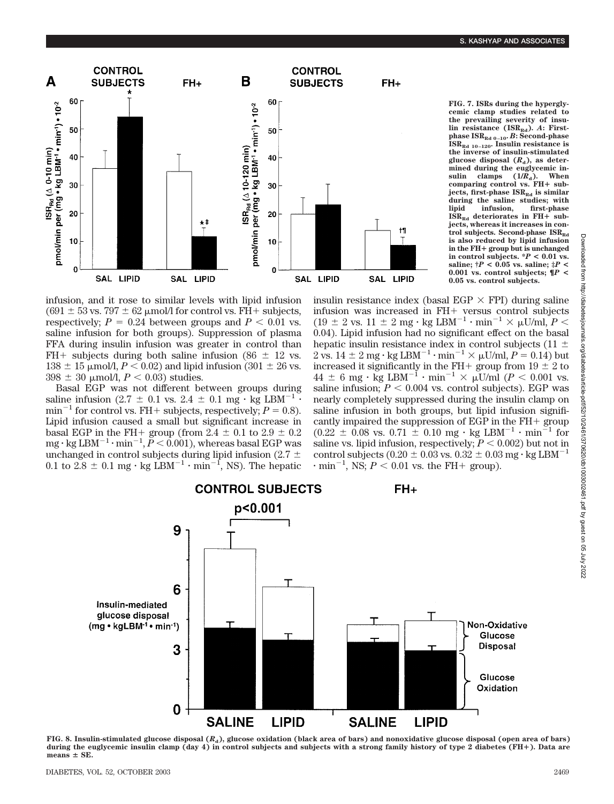**FIG. 7. ISRs during the hyperglycemic clamp studies related to**



the prevailing severity of insulin resistance (ISR<sub>Rd</sub>). A: Firstphase  $ISR_{Rd,0-10}$ . *B*: Second-phase **. Insulin resistance is the inverse of insulin-stimulated glucose disposal**  $(R_d)$ , as determined during the euglycemic in-<br>sulin clamps  $(1/R<sub>d</sub>)$ . When sulin clamps  $(1/R<sub>d</sub>)$ . When<br>comparing control vs. FH+ sub**jects, first-phase ISR<sub>Rd</sub> <b>is similar** during the saline studies; with<br>lipid infusion, first-phase **lipid infusion, first-phase**  $\text{ISR}_{\text{Rd}}$  deteriorates in FH+ sub**jects, whereas it increases in con** $trol$  subjects. Second-phase  $ISR<sub>RA</sub>$ **is also reduced by lipid infusion in the FH**- **group but is unchanged** in control subjects.  ${}^*P$  < 0.01 vs. **saline; †***P* **< 0.05 vs. saline; ‡***P* **< 0.001 vs. control subjects; ¶***P* **< 0.05 vs. control subjects.**

infusion, and it rose to similar levels with lipid infusion  $(691 \pm 53 \text{ vs. } 797 \pm 62 \text{ }\mu\text{mol/l}$  for control vs. FH+ subjects, respectively;  $P = 0.24$  between groups and  $P < 0.01$  vs. saline infusion for both groups). Suppression of plasma FFA during insulin infusion was greater in control than FH+ subjects during both saline infusion (86  $\pm$  12 vs.  $138 \pm 15$   $\mu$ mol/l,  $P < 0.02$ ) and lipid infusion (301  $\pm$  26 vs.  $398 \pm 30 \mu$  mol/l,  $P < 0.03$ ) studies.

Basal EGP was not different between groups during saline infusion (2.7  $\pm$  0.1 vs. 2.4  $\pm$  0.1 mg  $\cdot$  kg LBM<sup>-1</sup>  $\cdot$  $min^{-1}$  for control vs. FH + subjects, respectively;  $P = 0.8$ ). Lipid infusion caused a small but significant increase in basal EGP in the FH+ group (from  $2.4 \pm 0.1$  to  $2.9 \pm 0.2$  ${\rm mg}\cdot{\rm kg}\, {\rm LBM}^{-1}\cdot{\rm min}^{-1}, \breve{P} < 0.001),$  whereas basal EGP was unchanged in control subjects during lipid infusion (2.7  $\pm$ 0.1 to  $2.8 \pm 0.1$  mg  $\cdot$  kg LBM<sup>-1</sup>  $\cdot$  min<sup>-1</sup>, NS). The hepatic

insulin resistance index (basal EGP  $\times$  FPI) during saline infusion was increased in FH+ versus control subjects (19  $\pm$  2 vs. 11  $\pm$  2 mg · kg LBM<sup>-1</sup> · min<sup>-1</sup>  $\times$   $\mu$ U/ml, *P* < 0.04). Lipid infusion had no significant effect on the basal hepatic insulin resistance index in control subjects (11  $\pm$ 2 vs.  $14 \pm 2$  mg  $\cdot$  kg LBM<sup>-1</sup> $\cdot$  min<sup>-1</sup> $\times \mu$ U/ml,  $P = 0.14$ ) but increased it significantly in the FH+ group from  $19 \pm 2$  to  $44 \pm 6$  mg · kg LBM<sup>-1</sup> · min<sup>-1</sup> ×  $\mu$ U/ml (*P* < 0.001 vs. saline infusion;  $P < 0.004$  vs. control subjects). EGP was nearly completely suppressed during the insulin clamp on saline infusion in both groups, but lipid infusion significantly impaired the suppression of EGP in the  $FH+$  group  $(0.22 \pm 0.08 \text{ vs. } 0.71 \pm 0.10 \text{ mg} \cdot \text{kg LBM}^{-1} \cdot \text{min}^{-1} \text{ for}$ saline vs. lipid infusion, respectively;  $P < 0.002$ ) but not in control subjects (0.20  $\pm$  0.03 vs. 0.32  $\pm$  0.03 mg  $\cdot$  kg LBM<sup>-1</sup>  $\cdot$  min<sup>-1</sup>, NS;  $P \lt 0.01$  vs. the FH+ group).



**FIG. 8. Insulin-stimulated glucose disposal (***R***d), glucose oxidation (black area of bars) and nonoxidative glucose disposal (open area of bars) during the euglycemic insulin clamp (day 4) in control subjects and subjects with a strong family history of type 2 diabetes (FH**-**). Data are**  $means \pm SE$ .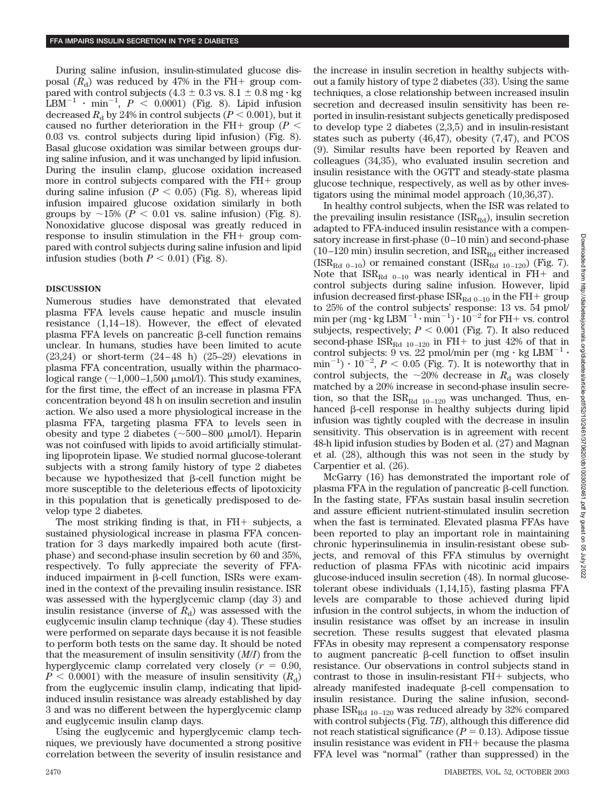During saline infusion, insulin-stimulated glucose disposal  $(R_d)$  was reduced by 47% in the FH+ group compared with control subjects (4.3  $\pm$  0.3 vs. 8.1  $\pm$  0.8 mg  $\cdot$  kg  $\text{LBM}^{-1}$  · min<sup>-1</sup>,  $P \leq 0.0001$ ) (Fig. 8). Lipid infusion decreased  $R_{\rm d}$  by 24% in control subjects ( $P < 0.001$ ), but it caused no further deterioration in the FH+ group ( $P$  < 0.03 vs. control subjects during lipid infusion) (Fig. 8). Basal glucose oxidation was similar between groups during saline infusion, and it was unchanged by lipid infusion. During the insulin clamp, glucose oxidation increased more in control subjects compared with the  $FH+$  group during saline infusion  $(P < 0.05)$  (Fig. 8), whereas lipid infusion impaired glucose oxidation similarly in both groups by  $\sim$ 15% ( $P < 0.01$  vs. saline infusion) (Fig. 8). Nonoxidative glucose disposal was greatly reduced in response to insulin stimulation in the  $FH+$  group compared with control subjects during saline infusion and lipid infusion studies (both  $P < 0.01$ ) (Fig. 8).

# **DISCUSSION**

Numerous studies have demonstrated that elevated plasma FFA levels cause hepatic and muscle insulin resistance (1,14–18). However, the effect of elevated plasma FFA levels on pancreatic  $\beta$ -cell function remains unclear. In humans, studies have been limited to acute (23,24) or short-term (24–48 h) (25–29) elevations in plasma FFA concentration, usually within the pharmacological range ( $\sim$ 1,000–1,500  $\mu$ mol/l). This study examines, for the first time, the effect of an increase in plasma FFA concentration beyond 48 h on insulin secretion and insulin action. We also used a more physiological increase in the plasma FFA, targeting plasma FFA to levels seen in obesity and type 2 diabetes ( $\sim 500-800$  µmol/l). Heparin was not coinfused with lipids to avoid artificially stimulating lipoprotein lipase. We studied normal glucose-tolerant subjects with a strong family history of type 2 diabetes because we hypothesized that  $\beta$ -cell function might be more susceptible to the deleterious effects of lipotoxicity in this population that is genetically predisposed to develop type 2 diabetes.

The most striking finding is that, in  $FH+$  subjects, a sustained physiological increase in plasma FFA concentration for 3 days markedly impaired both acute (firstphase) and second-phase insulin secretion by 60 and 35%, respectively. To fully appreciate the severity of FFAinduced impairment in  $\beta$ -cell function, ISRs were examined in the context of the prevailing insulin resistance. ISR was assessed with the hyperglycemic clamp (day 3) and insulin resistance (inverse of  $R_d$ ) was assessed with the euglycemic insulin clamp technique (day 4). These studies were performed on separate days because it is not feasible to perform both tests on the same day. It should be noted that the measurement of insulin sensitivity (*M*/*I*) from the hyperglycemic clamp correlated very closely  $(r = 0.90,$  $P < 0.0001$ ) with the measure of insulin sensitivity  $(R<sub>d</sub>)$ from the euglycemic insulin clamp, indicating that lipidinduced insulin resistance was already established by day 3 and was no different between the hyperglycemic clamp and euglycemic insulin clamp days.

Using the euglycemic and hyperglycemic clamp techniques, we previously have documented a strong positive correlation between the severity of insulin resistance and the increase in insulin secretion in healthy subjects without a family history of type 2 diabetes (33). Using the same techniques, a close relationship between increased insulin secretion and decreased insulin sensitivity has been reported in insulin-resistant subjects genetically predisposed to develop type 2 diabetes (2,3,5) and in insulin-resistant states such as puberty (46,47), obesity (7,47), and PCOS (9). Similar results have been reported by Reaven and colleagues (34,35), who evaluated insulin secretion and insulin resistance with the OGTT and steady-state plasma glucose technique, respectively, as well as by other investigators using the minimal model approach (10,36,37).

In healthy control subjects, when the ISR was related to the prevailing insulin resistance  $(ISR_{Ed})$ , insulin secretion adapted to FFA-induced insulin resistance with a compensatory increase in first-phase (0–10 min) and second-phase  $(10-120 \text{ min})$  insulin secretion, and  $\text{ISR}_{\text{Rd}}$  either increased  $(ISR<sub>Rd 0–10</sub>)$  or remained constant  $(ISR<sub>Rd 10–120</sub>)$  (Fig. 7). Note that  $ISR_{\text{Rd}$  0–10 was nearly identical in FH+ and control subjects during saline infusion. However, lipid infusion decreased first-phase  $ISR_{Rd 0-10}$  in the FH+ group to 25% of the control subjects' response: 13 vs. 54 pmol/ min per (mg  $\cdot$  kg LBM $^{-1}\cdot$ min $^{-1})\cdot 10^{-2}$  for FH+ vs. control subjects, respectively;  $P < 0.001$  (Fig. 7). It also reduced second-phase  $ISR_{\text{Rd}10-120}$  in FH+ to just 42% of that in control subjects: 9 vs. 22 pmol/min per (mg  $\cdot$  kg LBM<sup>-1</sup>  $\min^{-1}$ )  $\cdot 10^{-2}$ ,  $P < 0.05$  (Fig. 7). It is noteworthy that in control subjects, the  $\sim$ 20% decrease in  $R_d$  was closely matched by a 20% increase in second-phase insulin secretion, so that the  $ISR_{Rd 10-120}$  was unchanged. Thus, enhanced β-cell response in healthy subjects during lipid infusion was tightly coupled with the decrease in insulin sensitivity. This observation is in agreement with recent 48-h lipid infusion studies by Boden et al. (27) and Magnan et al. (28), although this was not seen in the study by Carpentier et al. (26).

McGarry (16) has demonstrated the important role of plasma FFA in the regulation of pancreatic  $\beta$ -cell function. In the fasting state, FFAs sustain basal insulin secretion and assure efficient nutrient-stimulated insulin secretion when the fast is terminated. Elevated plasma FFAs have been reported to play an important role in maintaining chronic hyperinsulinemia in insulin-resistant obese subjects, and removal of this FFA stimulus by overnight reduction of plasma FFAs with nicotinic acid impairs glucose-induced insulin secretion (48). In normal glucosetolerant obese individuals (1,14,15), fasting plasma FFA levels are comparable to those achieved during lipid infusion in the control subjects, in whom the induction of insulin resistance was offset by an increase in insulin secretion. These results suggest that elevated plasma FFAs in obesity may represent a compensatory response to augment pancreatic  $\beta$ -cell function to offset insulin resistance. Our observations in control subjects stand in contrast to those in insulin-resistant  $FH+$  subjects, who already manifested inadequate  $\beta$ -cell compensation to insulin resistance. During the saline infusion, secondphase  $\text{ISR}_{\text{Rd}10-120}$  was reduced already by 32% compared with control subjects (Fig. 7*B*), although this difference did not reach statistical significance  $(P = 0.13)$ . Adipose tissue insulin resistance was evident in  $FH+$  because the plasma FFA level was "normal" (rather than suppressed) in the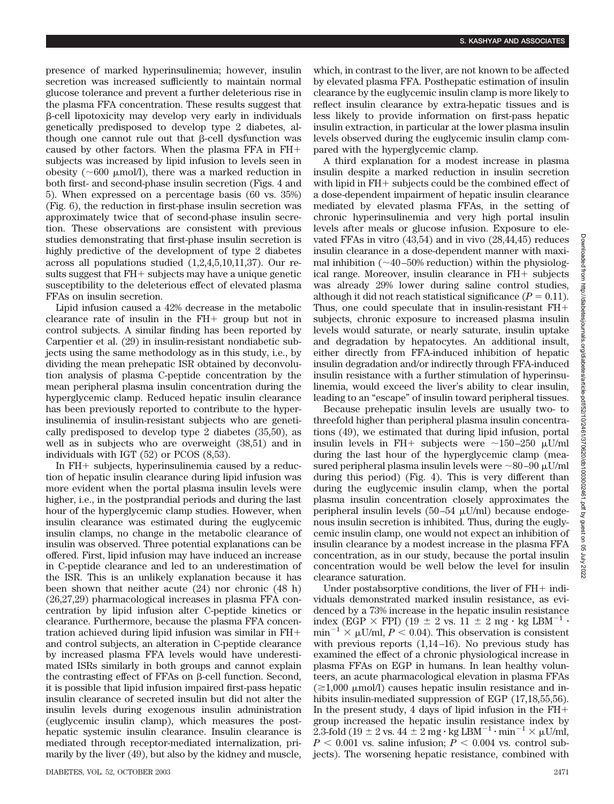presence of marked hyperinsulinemia; however, insulin secretion was increased sufficiently to maintain normal glucose tolerance and prevent a further deleterious rise in the plasma FFA concentration. These results suggest that --cell lipotoxicity may develop very early in individuals genetically predisposed to develop type 2 diabetes, although one cannot rule out that  $\beta$ -cell dysfunction was caused by other factors. When the plasma FFA in FH subjects was increased by lipid infusion to levels seen in obesity ( $\sim 600$  µmol/l), there was a marked reduction in both first- and second-phase insulin secretion (Figs. 4 and 5). When expressed on a percentage basis (60 vs. 35%) (Fig. 6), the reduction in first-phase insulin secretion was approximately twice that of second-phase insulin secretion. These observations are consistent with previous studies demonstrating that first-phase insulin secretion is highly predictive of the development of type 2 diabetes across all populations studied (1,2,4,5,10,11,37). Our results suggest that  $FH+$  subjects may have a unique genetic susceptibility to the deleterious effect of elevated plasma FFAs on insulin secretion.

Lipid infusion caused a 42% decrease in the metabolic clearance rate of insulin in the  $FH+$  group but not in control subjects. A similar finding has been reported by Carpentier et al. (29) in insulin-resistant nondiabetic subjects using the same methodology as in this study, i.e., by dividing the mean prehepatic ISR obtained by deconvolution analysis of plasma C-peptide concentration by the mean peripheral plasma insulin concentration during the hyperglycemic clamp. Reduced hepatic insulin clearance has been previously reported to contribute to the hyperinsulinemia of insulin-resistant subjects who are genetically predisposed to develop type 2 diabetes (35,50), as well as in subjects who are overweight (38,51) and in individuals with IGT (52) or PCOS (8,53).

In  $FH+$  subjects, hyperinsulinemia caused by a reduction of hepatic insulin clearance during lipid infusion was more evident when the portal plasma insulin levels were higher, i.e., in the postprandial periods and during the last hour of the hyperglycemic clamp studies. However, when insulin clearance was estimated during the euglycemic insulin clamps, no change in the metabolic clearance of insulin was observed. Three potential explanations can be offered. First, lipid infusion may have induced an increase in C-peptide clearance and led to an underestimation of the ISR. This is an unlikely explanation because it has been shown that neither acute (24) nor chronic (48 h) (26,27,29) pharmacological increases in plasma FFA concentration by lipid infusion alter C-peptide kinetics or clearance. Furthermore, because the plasma FFA concentration achieved during lipid infusion was similar in FH and control subjects, an alteration in C-peptide clearance by increased plasma FFA levels would have underestimated ISRs similarly in both groups and cannot explain the contrasting effect of FFAs on  $\beta$ -cell function. Second, it is possible that lipid infusion impaired first-pass hepatic insulin clearance of secreted insulin but did not alter the insulin levels during exogenous insulin administration (euglycemic insulin clamp), which measures the posthepatic systemic insulin clearance. Insulin clearance is mediated through receptor-mediated internalization, primarily by the liver (49), but also by the kidney and muscle, which, in contrast to the liver, are not known to be affected by elevated plasma FFA. Posthepatic estimation of insulin clearance by the euglycemic insulin clamp is more likely to reflect insulin clearance by extra-hepatic tissues and is less likely to provide information on first-pass hepatic insulin extraction, in particular at the lower plasma insulin levels observed during the euglycemic insulin clamp compared with the hyperglycemic clamp.

A third explanation for a modest increase in plasma insulin despite a marked reduction in insulin secretion with lipid in  $FH+$  subjects could be the combined effect of a dose-dependent impairment of hepatic insulin clearance mediated by elevated plasma FFAs, in the setting of chronic hyperinsulinemia and very high portal insulin levels after meals or glucose infusion. Exposure to elevated FFAs in vitro (43,54) and in vivo (28,44,45) reduces insulin clearance in a dose-dependent manner with maximal inhibition ( $\sim$ 40–50% reduction) within the physiological range. Moreover, insulin clearance in  $FH+$  subjects was already 29% lower during saline control studies, although it did not reach statistical significance  $(P = 0.11)$ . Thus, one could speculate that in insulin-resistant FH subjects, chronic exposure to increased plasma insulin levels would saturate, or nearly saturate, insulin uptake and degradation by hepatocytes. An additional insult, either directly from FFA-induced inhibition of hepatic insulin degradation and/or indirectly through FFA-induced insulin resistance with a further stimulation of hyperinsulinemia, would exceed the liver's ability to clear insulin, leading to an "escape" of insulin toward peripheral tissues.

Because prehepatic insulin levels are usually two- to threefold higher than peripheral plasma insulin concentrations (49), we estimated that during lipid infusion, portal insulin levels in FH+ subjects were  $\sim$ 150–250  $\mu$ U/ml during the last hour of the hyperglycemic clamp (measured peripheral plasma insulin levels were  $\sim$ 80–90 µU/ml during this period) (Fig. 4). This is very different than during the euglycemic insulin clamp, when the portal plasma insulin concentration closely approximates the peripheral insulin levels  $(50-54 \mu U/ml)$  because endogenous insulin secretion is inhibited. Thus, during the euglycemic insulin clamp, one would not expect an inhibition of insulin clearance by a modest increase in the plasma FFA concentration, as in our study, because the portal insulin concentration would be well below the level for insulin clearance saturation.

Under postabsorptive conditions, the liver of  $FH+indi$ viduals demonstrated marked insulin resistance, as evidenced by a 73% increase in the hepatic insulin resistance index (EGP  $\times$  FPI) (19  $\pm$  2 vs. 11  $\pm$  2 mg  $\cdot$  kg LBM<sup>-1</sup>  $\cdot$  $\min^{-1} \times \mu$ U/ml,  $P \le 0.04$ ). This observation is consistent with previous reports  $(1,14-16)$ . No previous study has examined the effect of a chronic physiological increase in plasma FFAs on EGP in humans. In lean healthy volunteers, an acute pharmacological elevation in plasma FFAs  $(\geq1,000 \mu \text{mol/l})$  causes hepatic insulin resistance and inhibits insulin-mediated suppression of EGP (17,18,55,56). In the present study, 4 days of lipid infusion in the  $FH+$ group increased the hepatic insulin resistance index by 2.3-fold (19  $\pm$  2 vs. 44  $\pm$  2 mg·kg LBM<sup>-1</sup>·min<sup>-1</sup>  $\times \mu$ U/ml,  $P < 0.001$  vs. saline infusion;  $P < 0.004$  vs. control subjects). The worsening hepatic resistance, combined with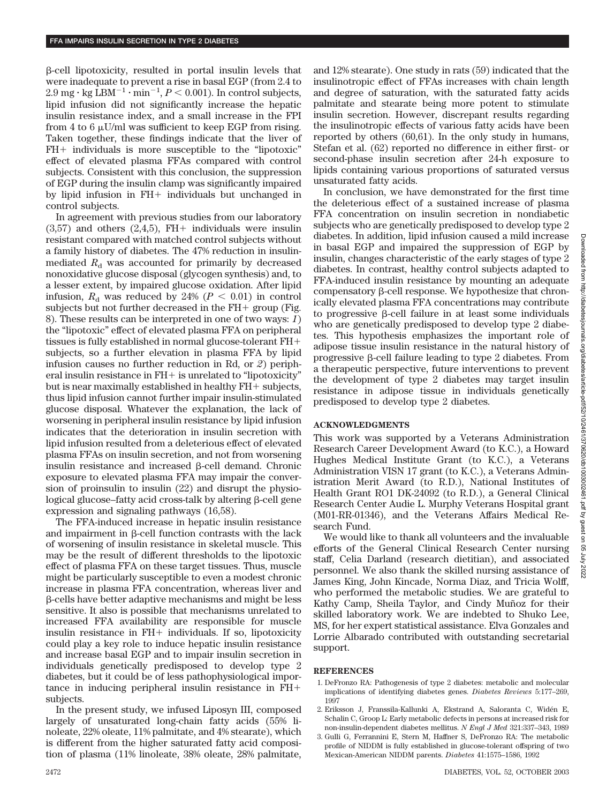--cell lipotoxicity, resulted in portal insulin levels that were inadequate to prevent a rise in basal EGP (from 2.4 to  $2.9 \text{ mg} \cdot \text{kg} \, \text{LBM}^{-1} \cdot \text{min}^{-1}, P < 0.001$ ). In control subjects, lipid infusion did not significantly increase the hepatic insulin resistance index, and a small increase in the FPI from 4 to 6  $\mu$ U/ml was sufficient to keep EGP from rising. Taken together, these findings indicate that the liver of  $FH+$  individuals is more susceptible to the "lipotoxic" effect of elevated plasma FFAs compared with control subjects. Consistent with this conclusion, the suppression of EGP during the insulin clamp was significantly impaired by lipid infusion in  $FH+$  individuals but unchanged in control subjects.

In agreement with previous studies from our laboratory  $(3,57)$  and others  $(2,4,5)$ , FH+ individuals were insulin resistant compared with matched control subjects without a family history of diabetes. The 47% reduction in insulinmediated  $R_d$  was accounted for primarily by decreased nonoxidative glucose disposal (glycogen synthesis) and, to a lesser extent, by impaired glucose oxidation. After lipid infusion,  $R_{\rm d}$  was reduced by 24% ( $P < 0.01$ ) in control subjects but not further decreased in the  $FH+$  group (Fig. 8). These results can be interpreted in one of two ways: *1*) the "lipotoxic" effect of elevated plasma FFA on peripheral tissues is fully established in normal glucose-tolerant FH subjects, so a further elevation in plasma FFA by lipid infusion causes no further reduction in Rd, or *2*) peripheral insulin resistance in  $FH+$  is unrelated to "lipotoxicity" but is near maximally established in healthy  $FH +$  subjects, thus lipid infusion cannot further impair insulin-stimulated glucose disposal. Whatever the explanation, the lack of worsening in peripheral insulin resistance by lipid infusion indicates that the deterioration in insulin secretion with lipid infusion resulted from a deleterious effect of elevated plasma FFAs on insulin secretion, and not from worsening insulin resistance and increased  $\beta$ -cell demand. Chronic exposure to elevated plasma FFA may impair the conversion of proinsulin to insulin (22) and disrupt the physiological glucose–fatty acid cross-talk by altering β-cell gene expression and signaling pathways (16,58).

The FFA-induced increase in hepatic insulin resistance and impairment in  $\beta$ -cell function contrasts with the lack of worsening of insulin resistance in skeletal muscle. This may be the result of different thresholds to the lipotoxic effect of plasma FFA on these target tissues. Thus, muscle might be particularly susceptible to even a modest chronic increase in plasma FFA concentration, whereas liver and --cells have better adaptive mechanisms and might be less sensitive. It also is possible that mechanisms unrelated to increased FFA availability are responsible for muscle insulin resistance in  $FH+$  individuals. If so, lipotoxicity could play a key role to induce hepatic insulin resistance and increase basal EGP and to impair insulin secretion in individuals genetically predisposed to develop type 2 diabetes, but it could be of less pathophysiological importance in inducing peripheral insulin resistance in FH subjects.

In the present study, we infused Liposyn III, composed largely of unsaturated long-chain fatty acids (55% linoleate, 22% oleate, 11% palmitate, and 4% stearate), which is different from the higher saturated fatty acid composition of plasma (11% linoleate, 38% oleate, 28% palmitate, and 12% stearate). One study in rats (59) indicated that the insulinotropic effect of FFAs increases with chain length and degree of saturation, with the saturated fatty acids palmitate and stearate being more potent to stimulate insulin secretion. However, discrepant results regarding the insulinotropic effects of various fatty acids have been reported by others (60,61). In the only study in humans, Stefan et al. (62) reported no difference in either first- or second-phase insulin secretion after 24-h exposure to lipids containing various proportions of saturated versus unsaturated fatty acids.

In conclusion, we have demonstrated for the first time the deleterious effect of a sustained increase of plasma FFA concentration on insulin secretion in nondiabetic subjects who are genetically predisposed to develop type 2 diabetes. In addition, lipid infusion caused a mild increase in basal EGP and impaired the suppression of EGP by insulin, changes characteristic of the early stages of type 2 diabetes. In contrast, healthy control subjects adapted to FFA-induced insulin resistance by mounting an adequate  $compensatory \beta-cell response.$  We hypothesize that chronically elevated plasma FFA concentrations may contribute to progressive  $\beta$ -cell failure in at least some individuals who are genetically predisposed to develop type 2 diabetes. This hypothesis emphasizes the important role of adipose tissue insulin resistance in the natural history of progressive  $\beta$ -cell failure leading to type 2 diabetes. From a therapeutic perspective, future interventions to prevent the development of type 2 diabetes may target insulin resistance in adipose tissue in individuals genetically predisposed to develop type 2 diabetes.

# **ACKNOWLEDGMENTS**

This work was supported by a Veterans Administration Research Career Development Award (to K.C.), a Howard Hughes Medical Institute Grant (to K.C.), a Veterans Administration VISN 17 grant (to K.C.), a Veterans Administration Merit Award (to R.D.), National Institutes of Health Grant RO1 DK-24092 (to R.D.), a General Clinical Research Center Audie L. Murphy Veterans Hospital grant (M01-RR-01346), and the Veterans Affairs Medical Research Fund.

We would like to thank all volunteers and the invaluable efforts of the General Clinical Research Center nursing staff, Celia Darland (research dietitian), and associated personnel. We also thank the skilled nursing assistance of James King, John Kincade, Norma Diaz, and Tricia Wolff, who performed the metabolic studies. We are grateful to Kathy Camp, Sheila Taylor, and Cindy Muñoz for their skilled laboratory work. We are indebted to Shuko Lee, MS, for her expert statistical assistance. Elva Gonzales and Lorrie Albarado contributed with outstanding secretarial support.

### **REFERENCES**

- 1. DeFronzo RA: Pathogenesis of type 2 diabetes: metabolic and molecular implications of identifying diabetes genes. *Diabetes Reviews* 5:177–269, 1997
- 2. Eriksson J, Franssila-Kallunki A, Ekstrand A, Saloranta C, Widén E, Schalin C, Groop L: Early metabolic defects in persons at increased risk for non-insulin-dependent diabetes mellitus. *N Engl J Med* 321:337–343, 1989
- 3. Gulli G, Ferrannini E, Stern M, Haffner S, DeFronzo RA: The metabolic profile of NIDDM is fully established in glucose-tolerant offspring of two Mexican-American NIDDM parents. *Diabetes* 41:1575–1586, 1992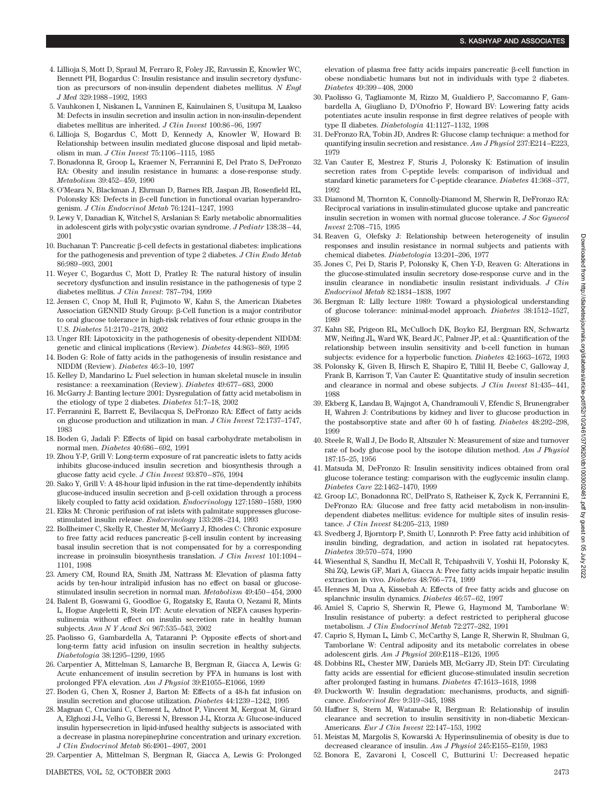- 4. Lillioja S, Mott D, Spraul M, Ferraro R, Foley JE, Ravussin E, Knowler WC, Bennett PH, Bogardus C: Insulin resistance and insulin secretory dysfunction as precursors of non-insulin dependent diabetes mellitus. *N Engl J Med* 329:1988–1992, 1993
- 5. Vauhkonen I, Niskanen L, Vanninen E, Kainulainen S, Uusitupa M, Laakso M: Defects in insulin secretion and insulin action in non-insulin-dependent diabetes mellitus are inherited. *J Clin Invest* 100:86–96, 1997
- 6. Lillioja S, Bogardus C, Mott D, Kennedy A, Knowler W, Howard B: Relationship between insulin mediated glucose disposal and lipid metabolism in man. *J Clin Invest* 75:1106–1115, 1985
- 7. Bonadonna R, Groop L, Kraemer N, Ferrannini E, Del Prato S, DeFronzo RA: Obesity and insulin resistance in humans: a dose-response study. *Metabolism* 39:452–459, 1990
- 8. O'Meara N, Blackman J, Ehrman D, Barnes RB, Jaspan JB, Rosenfield RL, Polonsky KS: Defects in  $\beta$ -cell function in functional ovarian hyperandrogenism. *J Clin Endocrinol Metab* 76:1241–1247, 1993
- 9. Lewy V, Danadian K, Witchel S, Arslanian S: Early metabolic abnormalities in adolescent girls with polycystic ovarian syndrome. *J Pediatr* 138:38–44, 2001
- $10.$  Buchanan T: Pancreatic  $\beta$ -cell defects in gestational diabetes: implications for the pathogenesis and prevention of type 2 diabetes. *J Clin Endo Metab* 86:989–993, 2001
- 11. Weyer C, Bogardus C, Mott D, Pratley R: The natural history of insulin secretory dysfunction and insulin resistance in the pathogenesis of type 2 diabetes mellitus. *J Clin Invest*: 787–794, 1999
- 12. Jensen C, Cnop M, Hull R, Fujimoto W, Kahn S, the American Diabetes Association GENNID Study Group: β-Cell function is a major contributor to oral glucose tolerance in high-risk relatives of four ethnic groups in the U.S. *Diabetes* 51:2170–2178, 2002
- 13. Unger RH: Lipotoxicity in the pathogenesis of obesity-dependent NIDDM: genetic and clinical implications (Review). *Diabetes* 44:863–869, 1995
- 14. Boden G: Role of fatty acids in the pathogenesis of insulin resistance and NIDDM (Review). *Diabetes* 46:3–10, 1997
- 15. Kelley D, Mandarino L: Fuel selection in human skeletal muscle in insulin resistance: a reexamination (Review). *Diabetes* 49:677–683, 2000
- 16. McGarry J: Banting lecture 2001: Dysregulation of fatty acid metabolism in the etiology of type 2 diabetes. *Diabetes* 51:7–18, 2002
- 17. Ferrannini E, Barrett E, Bevilacqua S, DeFronzo RA: Effect of fatty acids on glucose production and utilization in man. *J Clin Invest* 72:1737–1747, 1983
- 18. Boden G, Jadali F: Effects of lipid on basal carbohydrate metabolism in normal men. *Diabetes* 40:686–692, 1991
- 19. Zhou Y-P, Grill V: Long-term exposure of rat pancreatic islets to fatty acids inhibits glucose-induced insulin secretion and biosynthesis through a glucose fatty acid cycle. *J Clin Invest* 93:870–876, 1994
- 20. Sako Y, Grill V: A 48-hour lipid infusion in the rat time-dependently inhibits  $glucose$ -induced insulin secretion and  $\beta$ -cell oxidation through a process likely coupled to fatty acid oxidation. *Endocrinology* 127:1580–1589, 1990
- 21. Elks M: Chronic perifusion of rat islets with palmitate suppresses glucosestimulated insulin release. *Endocrinology* 133:208–214, 1993
- 22. Bollheimer C, Skelly R, Chester M, McGarry J, Rhodes C: Chronic exposure to free fatty acid reduces pancreatic  $\beta$ -cell insulin content by increasing basal insulin secretion that is not compensated for by a corresponding increase in proinsulin biosynthesis translation. *J Clin Invest* 101:1094– 1101, 1998
- 23. Amery CM, Round RA, Smith JM, Nattrass M: Elevation of plasma fatty acids by ten-hour intralipid infusion has no effect on basal or glucosestimulated insulin secretion in normal man. *Metabolism* 49:450–454, 2000
- 24. Balent B, Goswami G, Goodloe G, Rogatsky E, Rauta O, Nezami R, Mints L, Hogue Angeletti R, Stein DT: Acute elevation of NEFA causes hyperinsulinemia without effect on insulin secretion rate in healthy human subjects. *Ann N Y Acad Sci* 967:535–543, 2002
- 25. Paolisso G, Gambardella A, Tataranni P: Opposite effects of short-and long-term fatty acid infusion on insulin secretion in healthy subjects. *Diabetologia* 38:1295–1299, 1995
- 26. Carpentier A, Mittelman S, Lamarche B, Bergman R, Giacca A, Lewis G: Acute enhancement of insulin secretion by FFA in humans is lost with prolonged FFA elevation. *Am J Physiol* 39:E1055–E1066, 1999
- 27. Boden G, Chen X, Rosner J, Barton M: Effects of a 48-h fat infusion on insulin secretion and glucose utilization. *Diabetes* 44:1239–1242, 1995
- 28. Magnan C, Cruciani C, Clement L, Adnot P, Vincent M, Kergoat M, Girard A, Elghozi J-L, Velho G, Beressi N, Bresson J-L, Ktorza A: Glucose-induced insulin hypersecretion in lipid-infused healthy subjects is associated with a decrease in plasma norepinephrine concentration and urinary excretion. *J Clin Endocrinol Metab* 86:4901–4907, 2001
- 29. Carpentier A, Mittelman S, Bergman R, Giacca A, Lewis G: Prolonged

elevation of plasma free fatty acids impairs pancreatic  $\beta$ -cell function in obese nondiabetic humans but not in individuals with type 2 diabetes. *Diabetes* 49:399–408, 2000

- 30. Paolisso G, Tagliamonte M, Rizzo M, Gualdiero P, Saccomanno F, Gambardella A, Giugliano D, D'Onofrio F, Howard BV: Lowering fatty acids potentiates acute insulin response in first degree relatives of people with type II diabetes. *Diabetologia* 41:1127–1132, 1998
- 31. DeFronzo RA, Tobin JD, Andres R: Glucose clamp technique: a method for quantifying insulin secretion and resistance. *Am J Physiol* 237:E214–E223, 1979
- 32. Van Cauter E, Mestrez F, Sturis J, Polonsky K: Estimation of insulin secretion rates from C-peptide levels: comparison of individual and standard kinetic parameters for C-peptide clearance. *Diabetes* 41:368–377, 1992
- 33. Diamond M, Thornton K, Connolly-Diamond M, Sherwin R, DeFronzo RA: Reciprocal variations in insulin-stimulated glucose uptake and pancreatic insulin secretion in women with normal glucose tolerance. *J Soc Gynecol Invest* 2:708–715, 1995
- 34. Reaven G, Olefsky J: Relationship between heterogeneity of insulin responses and insulin resistance in normal subjects and patients with chemical diabetes. *Diabetologia* 13:201–206, 1977
- 35. Jones C, Pei D, Staris P, Polonsky K, Chen Y-D, Reaven G: Alterations in the glucose-stimulated insulin secretory dose-response curve and in the insulin clearance in nondiabetic insulin resistant individuals. *J Clin Endocrinol Metab* 82:1834–1838, 1997
- 36. Bergman R: Lilly lecture 1989: Toward a physiological understanding of glucose tolerance: minimal-model approach. *Diabetes* 38:1512–1527, 1989
- 37. Kahn SE, Prigeon RL, McCulloch DK, Boyko EJ, Bergman RN, Schwartz MW, Neifing JL, Ward WK, Beard JC, Palmer JP, et al.: Quantification of the relationship between insulin sensitivity and b-cell function in human subjects: evidence for a hyperbolic function. *Diabetes* 42:1663–1672, 1993
- 38. Polonsky K, Given B, Hirsch E, Shapiro E, Tillil H, Beebe C, Galloway J, Frank B, Karrison T, Van Cauter E: Quantitative study of insulin secretion and clearance in normal and obese subjects. *J Clin Invest* 81:435–441, 1988
- 39. Ekberg K, Landau B, Wajngot A, Chandramouli V, Efendic S, Brunengraber H, Wahren J: Contributions by kidney and liver to glucose production in the postabsorptive state and after 60 h of fasting. *Diabetes* 48:292–298, 1999
- 40. Steele R, Wall J, De Bodo R, Altszuler N: Measurement of size and turnover rate of body glucose pool by the isotope dilution method. *Am J Physiol* 187:15–25, 1956
- 41. Matsuda M, DeFronzo R: Insulin sensitivity indices obtained from oral glucose tolerance testing: comparison with the euglycemic insulin clamp. *Diabetes Care* 22:1462–1470, 1999
- 42. Groop LC, Bonadonna RC, DelPrato S, Ratheiser K, Zyck K, Ferrannini E, DeFronzo RA: Glucose and free fatty acid metabolism in non-insulindependent diabetes mellitus: evidence for multiple sites of insulin resistance. *J Clin Invest* 84:205–213, 1989
- 43. Svedberg J, Bjorntorp P, Smith U, Lonnroth P: Free fatty acid inhibition of insulin binding, degradation, and action in isolated rat hepatocytes. *Diabetes* 39:570–574, 1990
- 44. Wiesenthal S, Sandhu H, McCall R, Tchipashvili V, Yoshii H, Polonsky K, Shi ZQ, Lewis GF, Mari A, Giacca A: Free fatty acids impair hepatic insulin extraction in vivo. *Diabetes* 48:766–774, 1999
- 45. Hennes M, Dua A, Kissebah A: Effects of free fatty acids and glucose on splanchnic insulin dynamics. *Diabetes* 46:57–62, 1997
- 46. Amiel S, Caprio S, Sherwin R, Plewe G, Haymond M, Tamborlane W: Insulin resistance of puberty: a defect restricted to peripheral glucose metabolism. *J Clin Endocrinol Metab* 72:277–282, 1991
- 47. Caprio S, Hyman L, Limb C, McCarthy S, Lange R, Sherwin R, Shulman G, Tamborlane W: Central adiposity and its metabolic correlates in obese adolescent girls. *Am J Physiol* 269:E118–E126, 1995
- 48. Dobbins RL, Chester MW, Daniels MB, McGarry JD, Stein DT: Circulating fatty acids are essential for efficient glucose-stimulated insulin secretion after prolonged fasting in humans. *Diabetes* 47:1613–1618, 1998
- 49. Duckworth W: Insulin degradation: mechanisms, products, and significance. *Endocrinol Rev* 9:319–345, 1988
- 50. Haffner S, Stern M, Watanabe R, Bergman R: Relationship of insulin clearance and secretion to insulin sensitivity in non-diabetic Mexican-Americans. *Eur J Clin Invest* 22:147–153, 1992
- 51. Meistas M, Margolis S, Kowarski A: Hyperinsulinemia of obesity is due to decreased clearance of insulin. *Am J Physiol* 245:E155–E159, 1983
- 52. Bonora E, Zavaroni I, Coscell C, Butturini U: Decreased hepatic